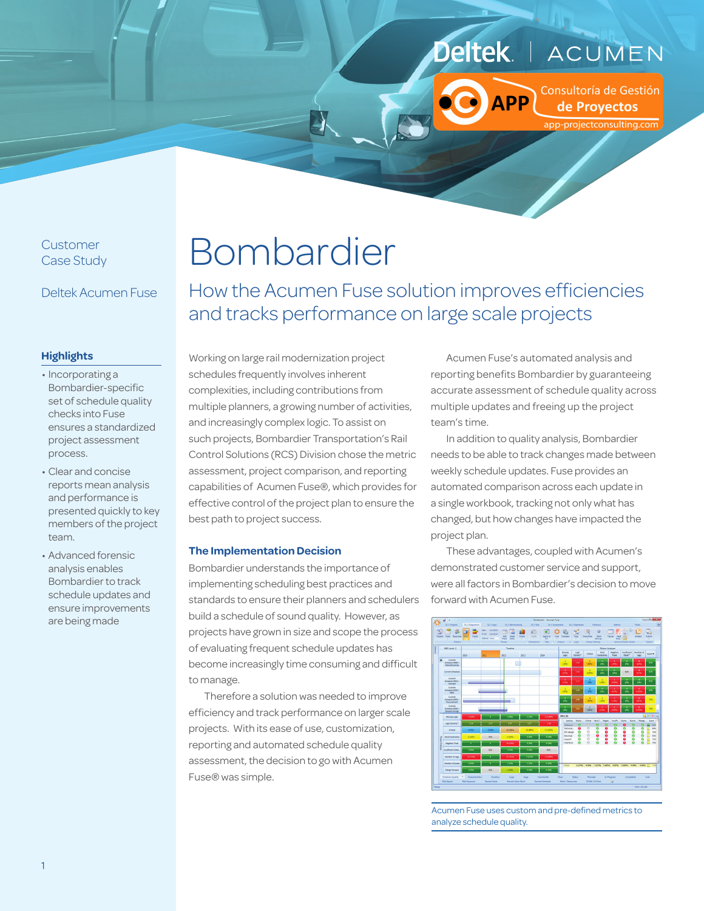#### **Deltek** ACUMEN

**APP** 

Consultoría de Gestión de Proyectos app-projectconsulting.com

Customer Case Study

Deltek Acumen Fuse

# Bombardier

How the Acumen Fuse solution improves efficiencies and tracks performance on large scale projects

#### **Highlights**

- Incorporating a Bombardier-specific set of schedule quality checks into Fuse ensures a standardized project assessment process.
- Clear and concise reports mean analysis and performance is presented quickly to key members of the project team.
- Advanced forensic analysis enables Bombardier to track schedule updates and ensure improvements are being made

Working on large rail modernization project schedules frequently involves inherent complexities, including contributions from multiple planners, a growing number of activities, and increasingly complex logic. To assist on such projects, Bombardier Transportation's Rail Control Solutions (RCS) Division chose the metric assessment, project comparison, and reporting capabilities of Acumen Fuse®, which provides for effective control of the project plan to ensure the best path to project success.

#### **The Implementation Decision**

Bombardier understands the importance of implementing scheduling best practices and standards to ensure their planners and schedulers build a schedule of sound quality. However, as projects have grown in size and scope the process of evaluating frequent schedule updates has become increasingly time consuming and difficult to manage.

Therefore a solution was needed to improve efficiency and track performance on larger scale projects. With its ease of use, customization, reporting and automated schedule quality assessment, the decision to go with Acumen Fuse® was simple.

Acumen Fuse's automated analysis and reporting benefits Bombardier by guaranteeing accurate assessment of schedule quality across multiple updates and freeing up the project team's time.

In addition to quality analysis, Bombardier needs to be able to track changes made between weekly schedule updates. Fuse provides an automated comparison across each update in a single workbook, tracking not only what has changed, but how changes have impacted the project plan.

These advantages, coupled with Acumen's demonstrated customer service and support, were all factors in Bombardier's decision to move forward with Acumen Fuse.



Acumen Fuse uses custom and pre-defined metrics to analyze schedule quality.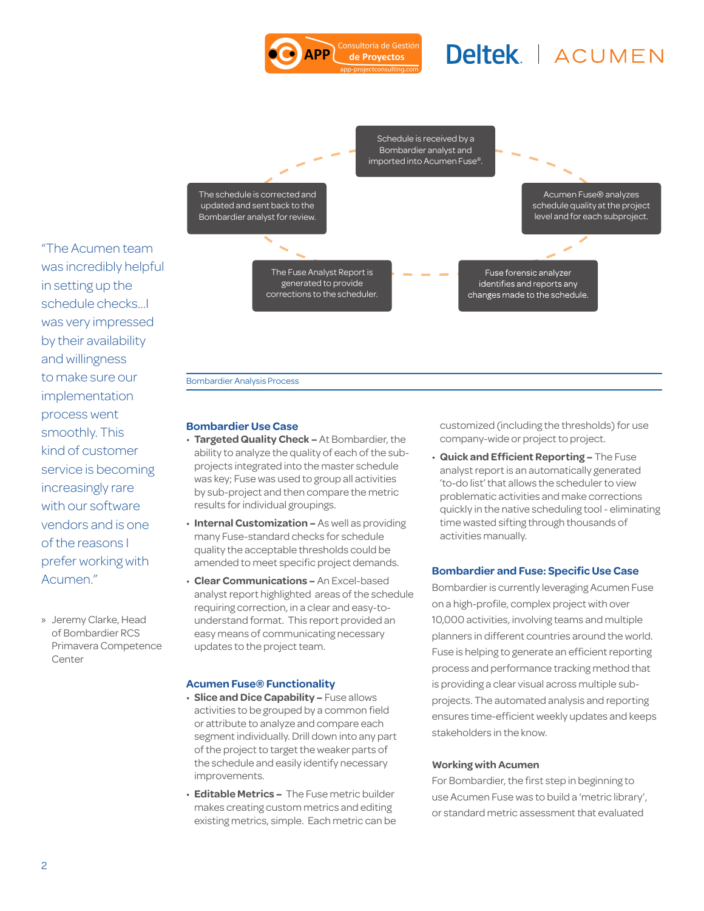#### Consultoría de Gestiór DD de Proyectos

# Deltek | ACUMEN



"The Acumen team was incredibly helpful in setting up the schedule checks...I was very impressed by their availability and willingness to make sure our implementation process went smoothly. This kind of customer service is becoming increasingly rare with our software vendors and is one of the reasons I prefer working with Acumen."

» Jeremy Clarke, Head of Bombardier RCS Primavera Competence Center

#### Bombardier Analysis Process

#### **Bombardier Use Case**

- **Targeted Quality Check –** At Bombardier, the ability to analyze the quality of each of the subprojects integrated into the master schedule was key; Fuse was used to group all activities by sub-project and then compare the metric results for individual groupings.
- **Internal Customization** As well as providing many Fuse-standard checks for schedule quality the acceptable thresholds could be amended to meet specific project demands.
- **Clear Communications** An Excel-based analyst report highlighted areas of the schedule requiring correction, in a clear and easy-tounderstand format. This report provided an easy means of communicating necessary updates to the project team.

#### **Acumen Fuse® Functionality**

- **Slice and Dice Capability –** Fuse allows activities to be grouped by a common field or attribute to analyze and compare each segment individually. Drill down into any part of the project to target the weaker parts of the schedule and easily identify necessary improvements.
- **Editable Metrics** The Fuse metric builder makes creating custom metrics and editing existing metrics, simple. Each metric can be

customized (including the thresholds) for use company-wide or project to project.

• **Quick and Efficient Reporting –** The Fuse analyst report is an automatically generated 'to-do list' that allows the scheduler to view problematic activities and make corrections quickly in the native scheduling tool - eliminating time wasted sifting through thousands of activities manually.

#### **Bombardier and Fuse: Specific Use Case**

Bombardier is currently leveraging Acumen Fuse on a high-profile, complex project with over 10,000 activities, involving teams and multiple planners in different countries around the world. Fuse is helping to generate an efficient reporting process and performance tracking method that is providing a clear visual across multiple subprojects. The automated analysis and reporting ensures time-efficient weekly updates and keeps stakeholders in the know.

#### **Working with Acumen**

For Bombardier, the first step in beginning to use Acumen Fuse was to build a 'metric library', or standard metric assessment that evaluated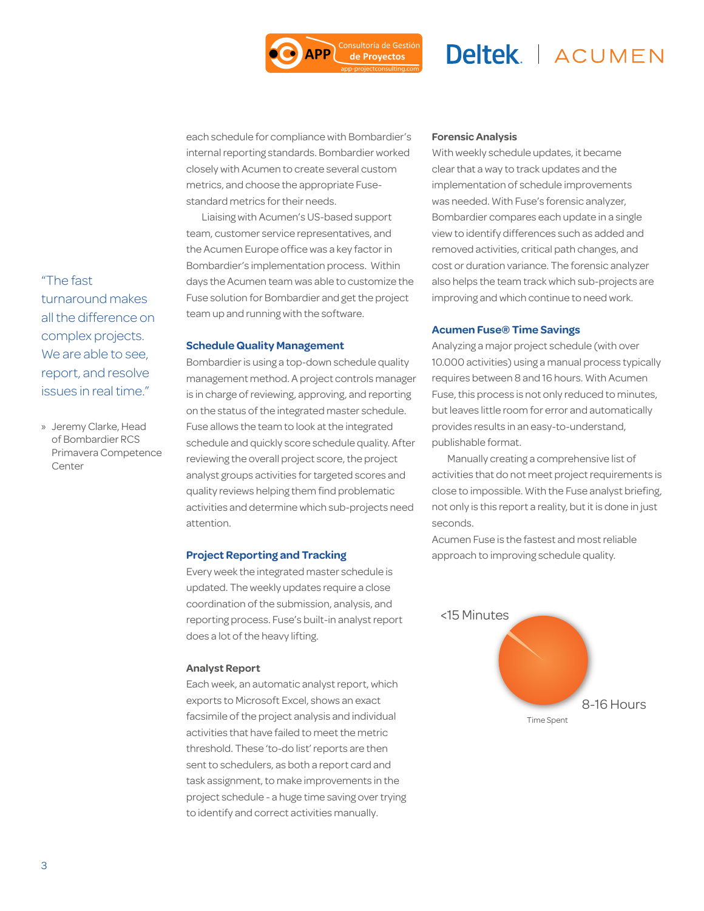Consultoría de Gestión

de Proyectos

### Deltek | ACUMEN

each schedule for compliance with Bombardier's internal reporting standards. Bombardier worked closely with Acumen to create several custom metrics, and choose the appropriate Fusestandard metrics for their needs.

Liaising with Acumen's US-based support team, customer service representatives, and the Acumen Europe office was a key factor in Bombardier's implementation process. Within days the Acumen team was able to customize the Fuse solution for Bombardier and get the project team up and running with the software.

#### **Schedule Quality Management**

Bombardier is using a top-down schedule quality management method. A project controls manager is in charge of reviewing, approving, and reporting on the status of the integrated master schedule. Fuse allows the team to look at the integrated schedule and quickly score schedule quality. After reviewing the overall project score, the project analyst groups activities for targeted scores and quality reviews helping them find problematic activities and determine which sub-projects need attention.

#### **Project Reporting and Tracking**

Every week the integrated master schedule is updated. The weekly updates require a close coordination of the submission, analysis, and reporting process. Fuse's built-in analyst report does a lot of the heavy lifting.

#### **Analyst Report**

Each week, an automatic analyst report, which exports to Microsoft Excel, shows an exact facsimile of the project analysis and individual activities that have failed to meet the metric threshold. These 'to-do list' reports are then sent to schedulers, as both a report card and task assignment, to make improvements in the project schedule - a huge time saving over trying to identify and correct activities manually.

#### **Forensic Analysis**

With weekly schedule updates, it became clear that a way to track updates and the implementation of schedule improvements was needed. With Fuse's forensic analyzer, Bombardier compares each update in a single view to identify differences such as added and removed activities, critical path changes, and cost or duration variance. The forensic analyzer also helps the team track which sub-projects are improving and which continue to need work.

#### **Acumen Fuse® Time Savings**

Analyzing a major project schedule (with over 10.000 activities) using a manual process typically requires between 8 and 16 hours. With Acumen Fuse, this process is not only reduced to minutes, but leaves little room for error and automatically provides results in an easy-to-understand, publishable format.

Manually creating a comprehensive list of activities that do not meet project requirements is close to impossible. With the Fuse analyst briefing, not only is this report a reality, but it is done in just seconds.

Acumen Fuse is the fastest and most reliable approach to improving schedule quality.



"The fast turnaround makes all the difference on complex projects. We are able to see, report, and resolve issues in real time."

» Jeremy Clarke, Head of Bombardier RCS Primavera Competence Center